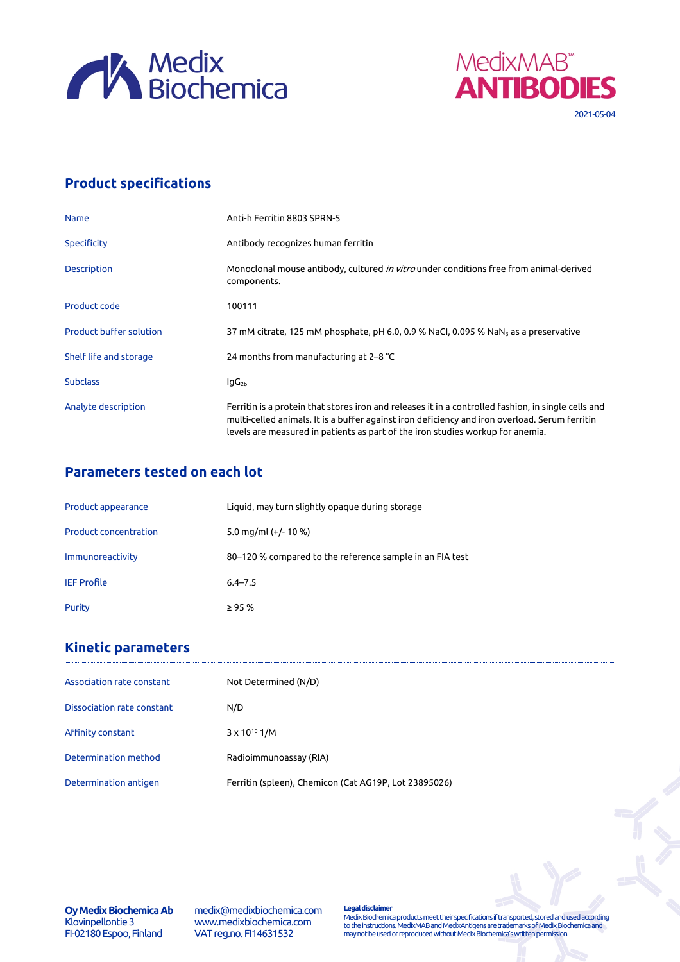



## **Product specifications**

| <b>Name</b>                    | Anti-h Ferritin 8803 SPRN-5                                                                                                                                                                                                                                                             |  |
|--------------------------------|-----------------------------------------------------------------------------------------------------------------------------------------------------------------------------------------------------------------------------------------------------------------------------------------|--|
| <b>Specificity</b>             | Antibody recognizes human ferritin                                                                                                                                                                                                                                                      |  |
| <b>Description</b>             | Monoclonal mouse antibody, cultured <i>in vitro</i> under conditions free from animal-derived<br>components.                                                                                                                                                                            |  |
| Product code                   | 100111                                                                                                                                                                                                                                                                                  |  |
| <b>Product buffer solution</b> | 37 mM citrate, 125 mM phosphate, pH 6.0, 0.9 % NaCl, 0.095 % NaN <sub>3</sub> as a preservative                                                                                                                                                                                         |  |
| Shelf life and storage         | 24 months from manufacturing at 2–8 °C                                                                                                                                                                                                                                                  |  |
| <b>Subclass</b>                | $lgG_{2b}$                                                                                                                                                                                                                                                                              |  |
| Analyte description            | Ferritin is a protein that stores iron and releases it in a controlled fashion, in single cells and<br>multi-celled animals. It is a buffer against iron deficiency and iron overload. Serum ferritin<br>levels are measured in patients as part of the iron studies workup for anemia. |  |

## **Parameters tested on each lot**

| Product appearance           | Liquid, may turn slightly opaque during storage          |  |
|------------------------------|----------------------------------------------------------|--|
| <b>Product concentration</b> | 5.0 mg/ml $(+/- 10 %$                                    |  |
| Immunoreactivity             | 80-120 % compared to the reference sample in an FIA test |  |
| <b>IEF Profile</b>           | $6.4 - 7.5$                                              |  |
| Purity                       | $\geq$ 95 %                                              |  |

## **Kinetic parameters**

| Association rate constant  | Not Determined (N/D)                                  |
|----------------------------|-------------------------------------------------------|
| Dissociation rate constant | N/D                                                   |
| Affinity constant          | $3 \times 10^{10}$ 1/M                                |
| Determination method       | Radioimmunoassay (RIA)                                |
| Determination antigen      | Ferritin (spleen), Chemicon (Cat AG19P, Lot 23895026) |

**Oy Medix Biochemica Ab** Klovinpellontie 3 FI-02180 Espoo, Finland

medix@medixbiochemica.com www.medixbiochemica.com VAT reg.no. FI14631532

**Legal disclaimer** Medix Biochemica products meet their specifications if transported, stored and used according to the instructions. MedixMAB and MedixAntigens are trademarks of Medix Biochemica and may not be used or reproduced without Medix Biochemica's written permission.